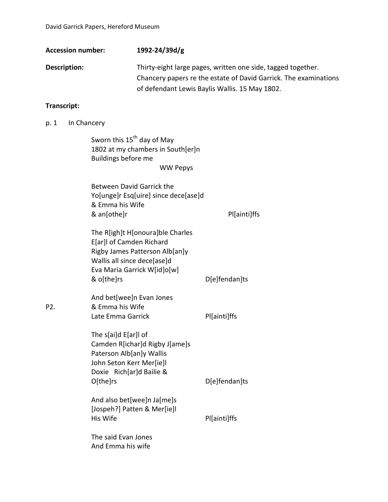| <b>Accession number:</b> | 1992-24/39d/g                                                    |
|--------------------------|------------------------------------------------------------------|
| Description:             | Thirty-eight large pages, written one side, tagged together.     |
|                          | Chancery papers re the estate of David Garrick. The examinations |
|                          | of defendant Lewis Baylis Wallis. 15 May 1802.                   |

## **Transcript:**

p. 1 In Chancery

Sworn this  $15<sup>th</sup>$  day of May 1802 at my chambers in South[er]n Buildings before me WW Pepys

Between David Garrick the Yo[unge]r Esq[uire] since dece[ase]d & Emma his Wife & an[othe]r Pl[ainti]ffs

| The R[igh]t H[onoura]ble Charles |               |
|----------------------------------|---------------|
| E[ar]I of Camden Richard         |               |
| Rigby James Patterson Alb[an]y   |               |
| Wallis all since dece[ase]d      |               |
| Eva Maria Garrick W[id]o[w]      |               |
| & o[the]rs                       | Delfendan Its |

And bet[wee]n Evan Jones P2. & Emma his Wife Late Emma Garrick Pl[ainti]ffs

The s[ai]d E[ar]l of Camden R[ichar]d Rigby J[ame]s Paterson Alb[an]y Wallis John Seton Kerr Mer[ie]l Doxie Rich[ar]d Bailie & O[the]rs D[e]fendan]ts And also bet[wee]n Ja[me]s

[Jospeh?] Patten & Mer[ie]l His Wife **Plainti** Pl[ainti]ffs

The said Evan Jones And Emma his wife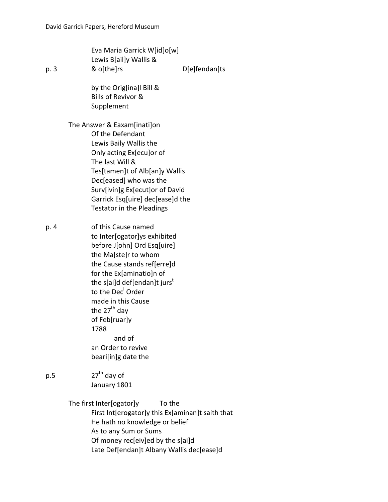Eva Maria Garrick W[id]o[w] Lewis B[ail]y Wallis & p. 3 & o[the]rs D[e]fendan]ts

> by the Orig[ina]l Bill & Bills of Revivor & Supplement

The Answer & Eaxam[inati]on Of the Defendant Lewis Baily Wallis the Only acting Ex[ecu]or of The last Will & Tes[tamen]t of Alb[an]y Wallis Dec[eased] who was the Surv[ivin]g Ex[ecut]or of David Garrick Esq[uire] dec[ease]d the Testator in the Pleadings

p. 4 of this Cause named to Inter[ogator]ys exhibited before J[ohn] Ord Esq[uire] the Ma[ste]r to whom the Cause stands ref[erre]d for the Ex[aminatio]n of the s[ai]d def[endan]t jurs<sup>t</sup> to the Dec<sup>l</sup> Order made in this Cause the  $27<sup>th</sup>$  day of Feb[ruar]y 1788 and of an Order to revive beari[in]g date the

 $p.5$  27<sup>th</sup> day of January 1801

The first Inter[ogator]y To the

First Int[erogator]y this Ex[aminan]t saith that He hath no knowledge or belief As to any Sum or Sums Of money rec[eiv]ed by the s[ai]d Late Def[endan]t Albany Wallis dec[ease]d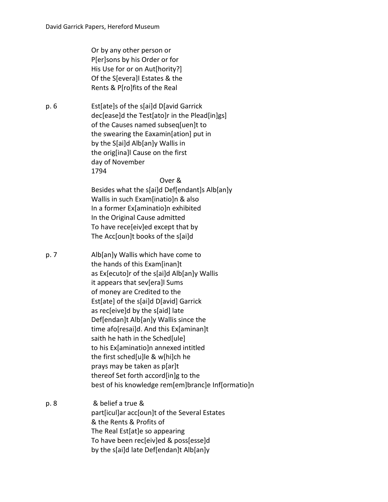Or by any other person or P[er]sons by his Order or for His Use for or on Aut[hority?] Of the S[evera]l Estates & the Rents & P[ro]fits of the Real

p. 6 Est[ate]s of the s[ai]d D[avid Garrick dec[ease]d the Test[ato]r in the Plead[in]gs] of the Causes named subseq[uen]t to the swearing the Eaxamin[ation] put in by the S[ai]d Alb[an]y Wallis in the orig[ina]l Cause on the first day of November 1794

## Over &

Besides what the s[ai]d Def[endant]s Alb[an]y Wallis in such Exam[inatio]n & also In a former Ex[aminatio]n exhibited In the Original Cause admitted To have rece[eiv]ed except that by The Acc[oun]t books of the s[ai]d

- p. 7 Alb[an]y Wallis which have come to the hands of this Exam[inan]t as Ex[ecuto]r of the s[ai]d Alb[an]y Wallis it appears that sev[era]l Sums of money are Credited to the Est[ate] of the s[ai]d D[avid] Garrick as rec[eive]d by the s[aid] late Def[endan]t Alb[an]y Wallis since the time afo[resai]d. And this Ex[aminan]t saith he hath in the Sched[ule] to his Ex[aminatio]n annexed intitled the first sched[u]le & w[hi]ch he prays may be taken as p[ar]t thereof Set forth accord[in]g to the best of his knowledge rem[em]branc]e Inf[ormatio]n
- p. 8 & belief a true & part[icul]ar acc[oun]t of the Several Estates & the Rents & Profits of The Real Est[at]e so appearing To have been rec[eiv]ed & poss[esse]d by the s[ai]d late Def[endan]t Alb[an]y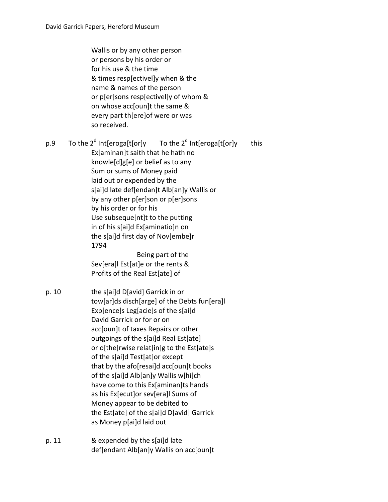Wallis or by any other person or persons by his order or for his use & the time & times resp[ectivel]y when & the name & names of the person or p[er]sons resp[ectivel]y of whom & on whose acc[oun]t the same & every part th[ere]of were or was so received.

p.9 To the 2<sup>d</sup> Int[eroga[t[or]y To the 2<sup>d</sup> Int[eroga[t[or]y this Ex[aminan]t saith that he hath no knowle[d]g[e] or belief as to any Sum or sums of Money paid laid out or expended by the s[ai]d late def[endan]t Alb[an]y Wallis or by any other p[er]son or p[er]sons by his order or for his Use subseque[nt]t to the putting in of his s[ai]d Ex[aminatio]n on the s[ai]d first day of Nov[embe]r 1794 Being part of the

Sev[era]l Est[at]e or the rents & Profits of the Real Est[ate] of

p. 10 the s[ai]d D[avid] Garrick in or tow[ar]ds disch[arge] of the Debts fun[era]l Exp[ence]s Leg[acie]s of the s[ai]d David Garrick or for or on acc[oun]t of taxes Repairs or other outgoings of the s[ai]d Real Est[ate] or o[the]rwise relat[in]g to the Est[ate]s of the s[ai]d Test[at]or except that by the afo[resai]d acc[oun]t books of the s[ai]d Alb[an]y Wallis w[hi]ch have come to this Ex[aminan]ts hands as his Ex[ecut]or sev[era]l Sums of Money appear to be debited to the Est[ate] of the s[ai]d D[avid] Garrick as Money p[ai]d laid out

p. 11 & expended by the s[ai]d late def[endant Alb[an]y Wallis on acc[oun]t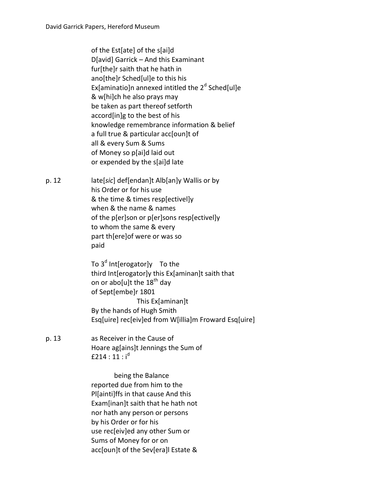of the Est[ate] of the s[ai]d D[avid] Garrick – And this Examinant fur[the]r saith that he hath in ano[the]r Sched[ul]e to this his Ex[aminatio]n annexed intitled the  $2<sup>d</sup>$  Sched[ul]e & w[hi]ch he also prays may be taken as part thereof setforth accord[in]g to the best of his knowledge remembrance information & belief a full true & particular acc[oun]t of all & every Sum & Sums of Money so p[ai]d laid out or expended by the s[ai]d late

p. 12 late[*sic*] def[endan]t Alb[an]y Wallis or by his Order or for his use & the time & times resp[ectivel]y when & the name & names of the p[er]son or p[er]sons resp[ectivel]y to whom the same & every part th[ere]of were or was so paid

> To  $3<sup>d</sup>$  Int[erogator]y To the third Int[erogator]y this Ex[aminan]t saith that on or abo[u]t the  $18<sup>th</sup>$  day of Sept[embe]r 1801 This Ex[aminan]t By the hands of Hugh Smith Esq[uire] rec[eiv]ed from W[illia]m Froward Esq[uire]

p. 13 as Receiver in the Cause of Hoare ag[ains]t Jennings the Sum of  $f214:11:i^d$ 

> being the Balance reported due from him to the Pl[ainti]ffs in that cause And this Exam[inan]t saith that he hath not nor hath any person or persons by his Order or for his use rec[eiv]ed any other Sum or Sums of Money for or on acc[oun]t of the Sev[era]l Estate &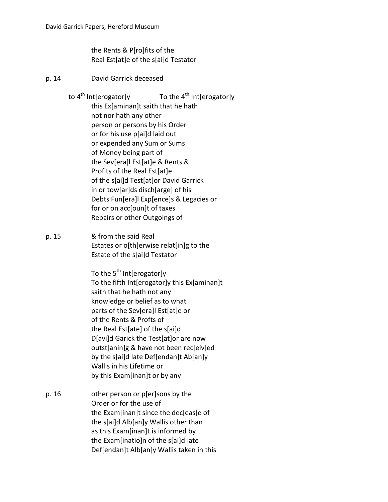the Rents & P[ro]fits of the Real Est[at]e of the s[ai]d Testator

- p. 14 David Garrick deceased
	- to  $4^{\text{th}}$  Int[erogator]y To the  $4^{\text{th}}$  Int[erogator]y this Ex[aminan]t saith that he hath not nor hath any other person or persons by his Order or for his use p[ai]d laid out or expended any Sum or Sums of Money being part of the Sev[era]l Est[at]e & Rents & Profits of the Real Est[at]e of the s[ai]d Test[at]or David Garrick in or tow[ar]ds disch[arge] of his Debts Fun[era]l Exp[ence]s & Legacies or for or on acc[oun]t of taxes Repairs or other Outgoings of
- p. 15 & from the said Real Estates or o[th]erwise relat[in]g to the Estate of the s[ai]d Testator

To the  $5^{th}$  Int[erogator]y To the fifth Int[erogator]y this Ex[aminan]t saith that he hath not any knowledge or belief as to what parts of the Sev[era]l Est[at]e or of the Rents & Profts of the Real Est[ate] of the s[ai]d D[avi]d Garick the Test[at]or are now outst[anin]g & have not been rec[eiv]ed by the s[ai]d late Def[endan]t Ab[an]y Wallis in his Lifetime or by this Exam[inan]t or by any

p. 16 other person or p[er]sons by the Order or for the use of the Exam[inan]t since the dec[eas]e of the s[ai]d Alb[an]y Wallis other than as this Exam[inan]t is informed by the Exam[inatio]n of the s[ai]d late Def[endan]t Alb[an]y Wallis taken in this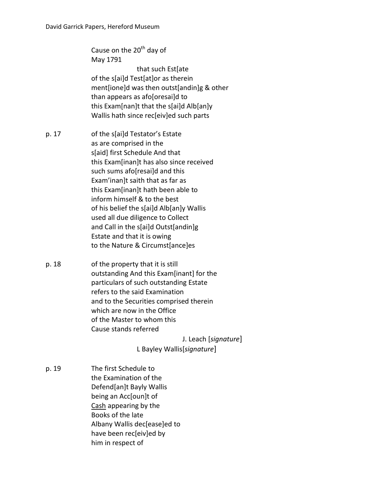Cause on the 20<sup>th</sup> day of May 1791 that such Est[ate of the s[ai]d Test[at]or as therein ment[ione]d was then outst[andin]g & other than appears as afo[oresai]d to this Exam[nan]t that the s[ai]d Alb[an]y Wallis hath since rec[eiv]ed such parts

- p. 17 of the s[ai]d Testator's Estate as are comprised in the s[aid] first Schedule And that this Exam[inan]t has also since received such sums afo[resai]d and this Exam'inan]t saith that as far as this Exam[inan]t hath been able to inform himself & to the best of his belief the s[ai]d Alb[an]y Wallis used all due diligence to Collect and Call in the s[ai]d Outst[andin]g Estate and that it is owing to the Nature & Circumst[ance]es
- p. 18 of the property that it is still outstanding And this Exam[inant] for the particulars of such outstanding Estate refers to the said Examination and to the Securities comprised therein which are now in the Office of the Master to whom this Cause stands referred

J. Leach [*signature*]

- L Bayley Wallis[*signature*]
- p. 19 The first Schedule to the Examination of the Defend[an]t Bayly Wallis being an Acc[oun]t of Cash appearing by the Books of the late Albany Wallis dec[ease]ed to have been rec[eiv]ed by him in respect of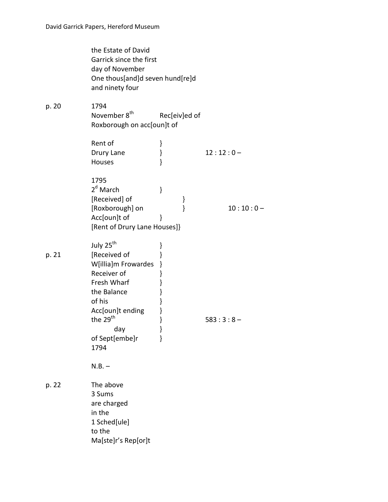|       | the Estate of David<br>Garrick since the first<br>day of November<br>One thous[and]d seven hund[re]d<br>and ninety four                                                                              |                                                     |             |
|-------|------------------------------------------------------------------------------------------------------------------------------------------------------------------------------------------------------|-----------------------------------------------------|-------------|
| p. 20 | 1794<br>November 8 <sup>th</sup><br>Roxborough on acc[oun]t of                                                                                                                                       | Rec[eiv]ed of                                       |             |
|       | Rent of<br>Drury Lane<br>Houses                                                                                                                                                                      | }<br>$\}$<br>ł                                      | $12:12:0-$  |
|       | 1795<br>2 <sup>d</sup> March<br>[Received] of<br>[Roxborough] on<br>Acc[oun]t of<br>[Rent of Drury Lane Houses]}                                                                                     | }<br>}<br>}<br>ł                                    | $10:10:0 -$ |
| p. 21 | July 25 <sup>th</sup><br>[Received of<br>W[illia]m Frowardes<br>Receiver of<br>Fresh Wharf<br>the Balance<br>of his<br>Acc[oun]t ending<br>the 29 <sup>th</sup><br>day day<br>of Sept[embe]r<br>1794 | }<br>}<br>}<br>}<br>}<br>}<br>}<br>}<br>}<br>ł<br>} | $583:3:8-$  |
| p. 22 | $N.B. -$<br>The above<br>3 Sums<br>are charged<br>in the<br>1 Sched[ule]<br>to the<br>Ma[ste]r's Rep[or]t                                                                                            |                                                     |             |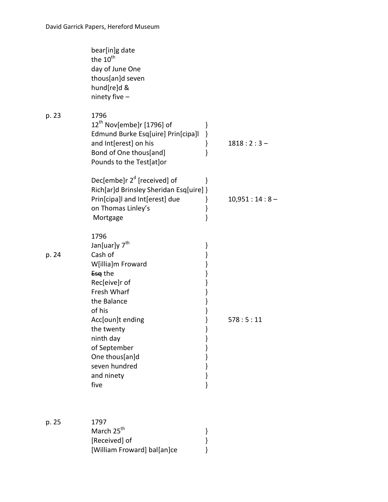|       | bear[in]g date<br>the 10 <sup>th</sup><br>day of June One<br>thous[an]d seven<br>hund[re]d &<br>ninety five -                                                                                                                                                                                                                            |                |
|-------|------------------------------------------------------------------------------------------------------------------------------------------------------------------------------------------------------------------------------------------------------------------------------------------------------------------------------------------|----------------|
| p. 23 | 1796<br>12 <sup>th</sup> Nov[embe]r [1796] of<br>}<br>Edmund Burke Esq[uire] Prin[cipa]l<br>}<br>and Int[erest] on his<br>}<br>}<br>Bond of One thous[and]<br>Pounds to the Test[at]or                                                                                                                                                   | $1818:2:3-$    |
|       | Dec[embe]r $2d$ [received] of<br>ł<br>Rich[ar]d Brinsley Sheridan Esq[uire] }<br>Prin[cipa]l and Int[erest] due<br>}<br>on Thomas Linley's<br>}<br>ł<br>Mortgage                                                                                                                                                                         | $10,951:14:8-$ |
| p. 24 | 1796<br>Jan[uar]y 7 <sup>th</sup><br>}<br>}<br>Cash of<br>}<br>W[illia]m Froward<br>Esq the<br>}<br>Rec[eive]r of<br>}<br>Fresh Wharf<br>}<br>the Balance<br>}<br>of his<br>}<br>Acc[oun]t ending<br>the twenty<br>}<br>ninth day<br>}<br>of September<br>}<br>One thous[an]d<br>}<br>seven hundred<br>}<br>and ninety<br>}<br>ł<br>five | 578:5:11       |
| p. 25 | 1797<br>March 25 <sup>th</sup><br>}<br>[Received] of<br>[William Froward] bal[an]ce                                                                                                                                                                                                                                                      |                |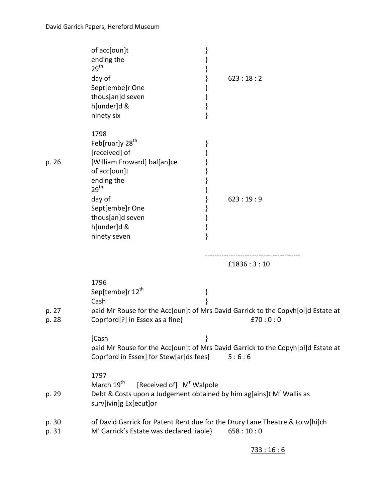|                | of acc[oun]t<br>ending the<br>29 <sup>th</sup><br>day of<br>Sept[embe]r One<br>thous[an]d seven<br>h[under]d &<br>ninety six                                                                                          |   | 623:18:2                                                                                    |
|----------------|-----------------------------------------------------------------------------------------------------------------------------------------------------------------------------------------------------------------------|---|---------------------------------------------------------------------------------------------|
| p. 26          | 1798<br>Feb[ruar]y 28 <sup>th</sup><br>[received] of<br>[William Froward] bal[an]ce<br>of acc[oun]t<br>ending the<br>29 <sup>th</sup><br>day of<br>Sept[embe]r One<br>thous[an]d seven<br>h[under]d &<br>ninety seven |   | 623:19:9                                                                                    |
|                |                                                                                                                                                                                                                       |   | £1836:3:10                                                                                  |
| p. 27<br>p. 28 | 1796<br>Sep[tembe]r 12 <sup>th</sup><br>Cash<br>Coprford[?] in Essex as a fine}                                                                                                                                       | } | paid Mr Rouse for the Acc[oun]t of Mrs David Garrick to the Copyh[ol]d Estate at<br>£70:0:0 |
|                | [Cash<br>Coprford in Essex] for Stew[ar]ds fees}                                                                                                                                                                      | } | paid Mr Rouse for the Acc[oun]t of Mrs David Garrick to the Copyh[ol]d Estate at<br>5:6:6   |
| p. 29          | 1797<br>March 19 <sup>th</sup><br>[Received of] M' Walpole<br>Debt & Costs upon a Judgement obtained by him ag[ains]t M' Wallis as<br>surv[ivin]g Ex[ecut]or                                                          |   |                                                                                             |
| p. 30<br>p. 31 | of David Garrick for Patent Rent due for the Drury Lane Theatre & to w[hi]ch<br>M <sup>r</sup> Garrick's Estate was declared liable}                                                                                  |   | 658:10:0                                                                                    |

## 733 : 16 : 6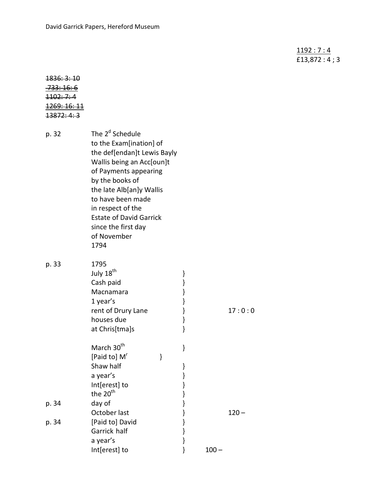1192 : 7 : 4 £13,872 : 4 ; 3

| <del>1836: 3: 10</del>  |
|-------------------------|
| <del>.733: 16: 6</del>  |
| <del>1102: 7: 4</del>   |
| <del>1269: 16: 11</del> |
| <del>13872: 4: 3</del>  |

| p. 32 | The 2 <sup>d</sup> Schedule<br>to the Exam[ination] of<br>the def[endan]t Lewis Bayly<br>Wallis being an Acc[oun]t<br>of Payments appearing<br>by the books of<br>the late Alb[an]y Wallis<br>to have been made<br>in respect of the<br><b>Estate of David Garrick</b><br>since the first day<br>of November<br>1794 |   |                                                                |         |         |
|-------|----------------------------------------------------------------------------------------------------------------------------------------------------------------------------------------------------------------------------------------------------------------------------------------------------------------------|---|----------------------------------------------------------------|---------|---------|
| p. 33 | 1795<br>July 18 <sup>th</sup><br>Cash paid<br>Macnamara<br>1 year's<br>rent of Drury Lane<br>houses due<br>at Chris[tma]s                                                                                                                                                                                            |   | ł<br>$\big\}$<br>$\big\}$<br>ł<br>$\big\}$<br>$\big\}$<br>$\}$ |         | 17:0:0  |
| p. 34 | March 30 <sup>th</sup><br>[Paid to] M <sup>r</sup><br>Shaw half<br>a year's<br>Int[erest] to<br>the 20 <sup>th</sup><br>day of                                                                                                                                                                                       | ł | }<br>}<br>}<br>}<br>}<br>$\big\}$                              |         |         |
| p. 34 | October last<br>[Paid to] David<br>Garrick half<br>a year's<br>Int[erest] to                                                                                                                                                                                                                                         |   | $\big\}$<br>$\big\}$<br>$\big\}$<br>$\}$<br>ł                  | $100 -$ | $120 -$ |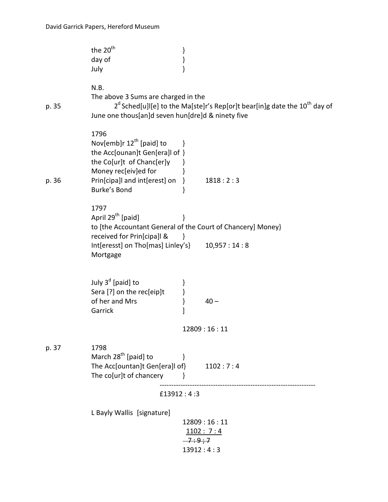|       | the 20 <sup>th</sup><br>day of<br>July                                                                                                                                                              | }                     |                                                                                         |
|-------|-----------------------------------------------------------------------------------------------------------------------------------------------------------------------------------------------------|-----------------------|-----------------------------------------------------------------------------------------|
| p. 35 | N.B.<br>The above 3 Sums are charged in the<br>June one thous[an]d seven hun[dre]d & ninety five                                                                                                    |                       | $2d$ Sched[u]l[e] to the Ma[ste]r's Rep[or]t bear[in]g date the 10 <sup>th</sup> day of |
| p. 36 | 1796<br>Nov[emb]r 12 <sup>th</sup> [paid] to<br>the Acc[ounan]t Gen[era]l of }<br>the Co[ur]t of Chanc[er]y<br>Money rec[eiv]ed for<br>Prin[cipa]l and int[erest] on }<br>Burke's Bond              | ł<br>}                | 1818:2:3                                                                                |
|       | 1797<br>April 29 <sup>th</sup> [paid]<br>to [the Accountant General of the Court of Chancery] Money}<br>received for Prin[cipa]l &<br>Int[eresst] on Tho[mas] Linley's} 10,957 : 14 : 8<br>Mortgage |                       |                                                                                         |
|       | July $3d$ [paid] to<br>Sera [?] on the rec[eip]t<br>of her and Mrs<br>Garrick                                                                                                                       | ł<br>]                | $40 -$                                                                                  |
|       |                                                                                                                                                                                                     |                       | 12809:16:11                                                                             |
| p. 37 | 1798<br>March 28 <sup>th</sup> [paid] to<br>The Acc[ountan]t Gen[era]l of}<br>The co[ur]t of chancery                                                                                               |                       | 1102:7:4                                                                                |
|       |                                                                                                                                                                                                     | £13912:4:3            |                                                                                         |
|       | L Bayly Wallis [signature]                                                                                                                                                                          | $-7:9:7$<br>13912:4:3 | 12809:16:11<br>1102:7:4                                                                 |